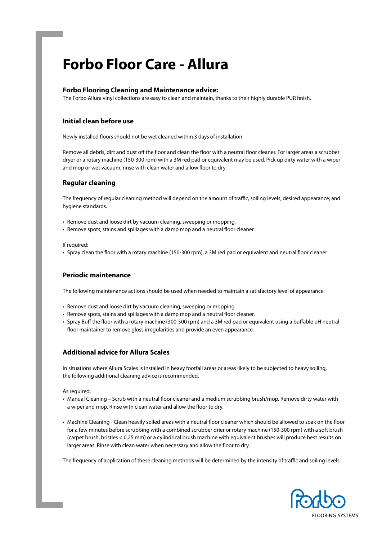## **Forbo Floor Care - Allura**

## **Forbo Flooring Cleaning and Maintenance advice:**

The Forbo Allura vinyl collections are easy to clean and maintain, thanks to their highly durable PUR finish.

## **Initial clean before use**

Newly installed floors should not be wet cleaned within 3 days of installation.

Remove all debris, dirt and dust off the floor and clean the floor with a neutral floor cleaner. For larger areas a scrubber dryer or a rotary machine (150-300 rpm) with a 3M red pad or equivalent may be used. Pick up dirty water with a wiper and mop or wet vacuum, rinse with clean water and allow floor to dry.

## **Regular cleaning**

The frequency of regular cleaning method will depend on the amount of traffic, soiling levels, desired appearance, and hygiene standards.

- Remove dust and loose dirt by vacuum cleaning, sweeping or mopping.
- Remove spots, stains and spillages with a damp mop and a neutral floor cleaner.

If required:

• Spray clean the floor with a rotary machine (150-300 rpm), a 3M red pad or equivalent and neutral floor cleaner

## **Periodic maintenance**

The following maintenance actions should be used when needed to maintain a satisfactory level of appearance.

- Remove dust and loose dirt by vacuum cleaning, sweeping or mopping.
- Remove spots, stains and spillages with a damp mop and a neutral floor cleaner.
- Spray Buff the floor with a rotary machine (300-500 rpm) and a 3M red pad or equivalent using a buffable pH neutral floor maintainer to remove gloss irregularities and provide an even appearance.

## **Additional advice for Allura Scales**

In situations where Allura Scales is installed in heavy footfall areas or areas likely to be subjected to heavy soiling, the following additional cleaning advice is recommended.

As required:

- Manual Cleaning Scrub with a neutral floor cleaner and a medium scrubbing brush/mop. Remove dirty water with a wiper and mop. Rinse with clean water and allow the floor to dry.
- Machine Cleaning Clean heavily soiled areas with a neutral floor cleaner which should be allowed to soak on the floor for a few minutes before scrubbing with a combined scrubber drier or rotary machine (150-300 rpm) with a soft brush (carpet brush, bristles < 0,25 mm) or a cylindrical brush machine with equivalent brushes will produce best results on larger areas. Rinse with clean water when necessary and allow the floor to dry.

The frequency of application of these cleaning methods will be determined by the intensity of traffic and soiling levels